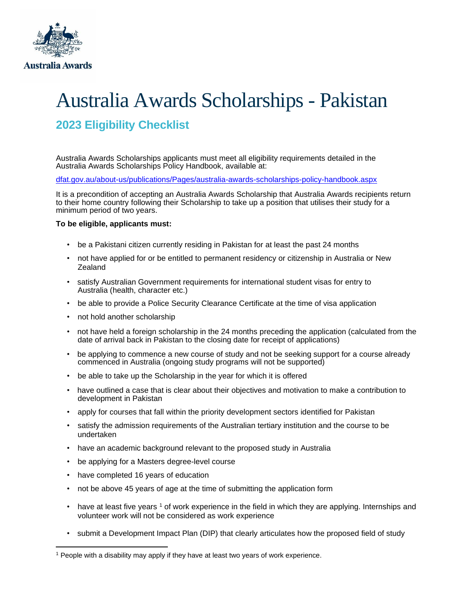

# Australia Awards Scholarships - Pakistan

## **2023 Eligibility Checklist**

Australia Awards Scholarships applicants must meet all eligibility requirements detailed in the Australia Awards Scholarships Policy Handbook, available at:

[dfat.gov.au/about-us/publications/Pages/australia-awards-scholarships-policy-handbook.aspx](http://dfat.gov.au/about-us/publications/Pages/australia-awards-scholarships-policy-handbook.aspx)

It is a precondition of accepting an Australia Awards Scholarship that Australia Awards recipients return to their home country following their Scholarship to take up a position that utilises their study for a minimum period of two years.

### **To be eligible, applicants must:**

- be a Pakistani citizen currently residing in Pakistan for at least the past 24 months
- not have applied for or be entitled to permanent residency or citizenship in Australia or New Zealand
- satisfy Australian Government requirements for international student visas for entry to Australia (health, character etc.)
- be able to provide a Police Security Clearance Certificate at the time of visa application
- not hold another scholarship
- not have held a foreign scholarship in the 24 months preceding the application (calculated from the date of arrival back in Pakistan to the closing date for receipt of applications)
- be applying to commence a new course of study and not be seeking support for a course already commenced in Australia (ongoing study programs will not be supported)
- be able to take up the Scholarship in the year for which it is offered
- have outlined a case that is clear about their objectives and motivation to make a contribution to development in Pakistan
- apply for courses that fall within the priority development sectors identified for Pakistan
- satisfy the admission requirements of the Australian tertiary institution and the course to be undertaken
- have an academic background relevant to the proposed study in Australia
- be applying for a Masters degree-level course
- have completed 16 years of education
- not be above 45 years of age at the time of submitting the application form
- have at least five years 1 of work experience in the field in which they are applying. Internships and volunteer work will not be considered as work experience
- submit a Development Impact Plan (DIP) that clearly articulates how the proposed field of study

<sup>1</sup> People with a disability may apply if they have at least two years of work experience.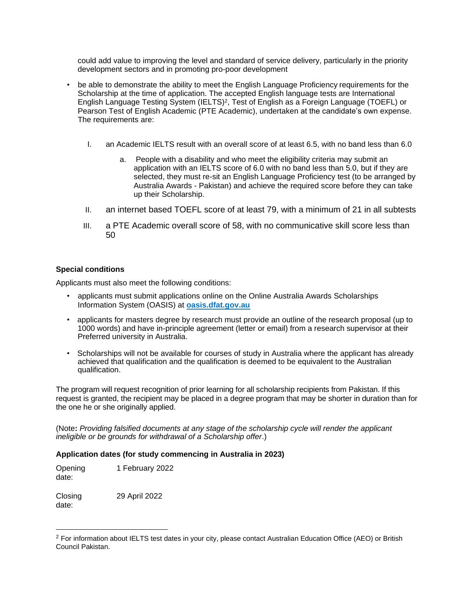could add value to improving the level and standard of service delivery, particularly in the priority development sectors and in promoting pro-poor development

- be able to demonstrate the ability to meet the English Language Proficiency requirements for the Scholarship at the time of application. The accepted English language tests are International English Language Testing System (IELTS)<sup>2</sup>, Test of English as a Foreign Language (TOEFL) or Pearson Test of English Academic (PTE Academic), undertaken at the candidate's own expense. The requirements are:
	- I. an Academic IELTS result with an overall score of at least 6.5, with no band less than 6.0
		- a. People with a disability and who meet the eligibility criteria may submit an application with an IELTS score of 6.0 with no band less than 5.0, but if they are selected, they must re-sit an English Language Proficiency test (to be arranged by Australia Awards - Pakistan) and achieve the required score before they can take up their Scholarship.
	- II. an internet based TOEFL score of at least 79, with a minimum of 21 in all subtests
	- III. a PTE Academic overall score of 58, with no communicative skill score less than 50

#### **Special conditions**

Applicants must also meet the following conditions:

- applicants must submit applications online on the Online Australia Awards Scholarships Information System (OASIS) at **[oasis.dfat.gov.au](https://oasis.dfat.gov.au/)**
- applicants for masters degree by research must provide an outline of the research proposal (up to 1000 words) and have in-principle agreement (letter or email) from a research supervisor at their Preferred university in Australia.
- Scholarships will not be available for courses of study in Australia where the applicant has already achieved that qualification and the qualification is deemed to be equivalent to the Australian qualification.

The program will request recognition of prior learning for all scholarship recipients from Pakistan. If this request is granted, the recipient may be placed in a degree program that may be shorter in duration than for the one he or she originally applied.

(Note**:** *Providing falsified documents at any stage of the scholarship cycle will render the applicant ineligible or be grounds for withdrawal of a Scholarship offer*.)

### **Application dates (for study commencing in Australia in 2023)**

| Opening<br>date: | 1 February 2022 |
|------------------|-----------------|
| Closing<br>date: | 29 April 2022   |

<sup>&</sup>lt;sup>2</sup> For information about IELTS test dates in your city, please contact Australian Education Office (AEO) or British Council Pakistan.